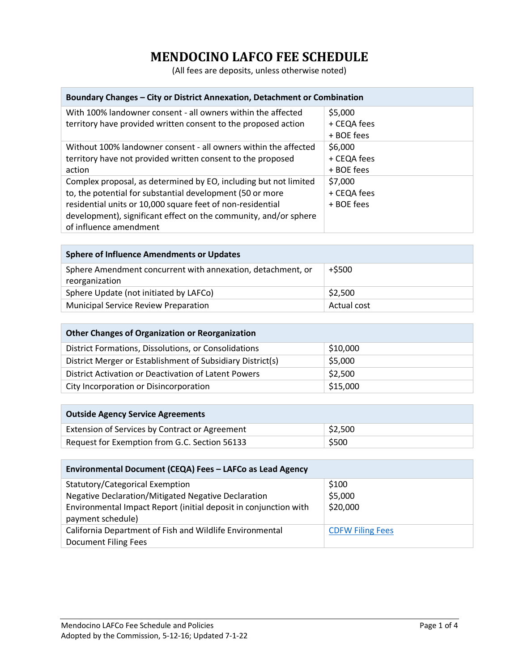## **MENDOCINO LAFCO FEE SCHEDULE**

(All fees are deposits, unless otherwise noted)

| Boundary Changes – City or District Annexation, Detachment or Combination                                                                                                                                                                                                                 |                                      |  |
|-------------------------------------------------------------------------------------------------------------------------------------------------------------------------------------------------------------------------------------------------------------------------------------------|--------------------------------------|--|
| With 100% landowner consent - all owners within the affected<br>territory have provided written consent to the proposed action                                                                                                                                                            | \$5,000<br>+ CEQA fees<br>+ BOE fees |  |
| Without 100% landowner consent - all owners within the affected<br>territory have not provided written consent to the proposed<br>action                                                                                                                                                  | \$6,000<br>+ CEQA fees<br>+ BOE fees |  |
| Complex proposal, as determined by EO, including but not limited<br>to, the potential for substantial development (50 or more<br>residential units or 10,000 square feet of non-residential<br>development), significant effect on the community, and/or sphere<br>of influence amendment | \$7,000<br>+ CEQA fees<br>+ BOE fees |  |

| <b>Sphere of Influence Amendments or Updates</b>                              |             |  |
|-------------------------------------------------------------------------------|-------------|--|
| Sphere Amendment concurrent with annexation, detachment, or<br>reorganization | $+$ \$500   |  |
| Sphere Update (not initiated by LAFCo)                                        | \$2,500     |  |
| <b>Municipal Service Review Preparation</b>                                   | Actual cost |  |

| <b>Other Changes of Organization or Reorganization</b>     |          |  |
|------------------------------------------------------------|----------|--|
| District Formations, Dissolutions, or Consolidations       | \$10,000 |  |
| District Merger or Establishment of Subsidiary District(s) | \$5,000  |  |
| District Activation or Deactivation of Latent Powers       | \$2,500  |  |
| City Incorporation or Disincorporation                     | \$15,000 |  |

| <b>Outside Agency Service Agreements</b>       |         |  |
|------------------------------------------------|---------|--|
| Extension of Services by Contract or Agreement | \$2,500 |  |
| Request for Exemption from G.C. Section 56133  | \$500   |  |

| Environmental Document (CEQA) Fees - LAFCo as Lead Agency        |                         |  |
|------------------------------------------------------------------|-------------------------|--|
| Statutory/Categorical Exemption                                  | \$100                   |  |
| Negative Declaration/Mitigated Negative Declaration              | \$5,000                 |  |
| Environmental Impact Report (initial deposit in conjunction with | \$20,000                |  |
| payment schedule)                                                |                         |  |
| California Department of Fish and Wildlife Environmental         | <b>CDFW Filing Fees</b> |  |
| <b>Document Filing Fees</b>                                      |                         |  |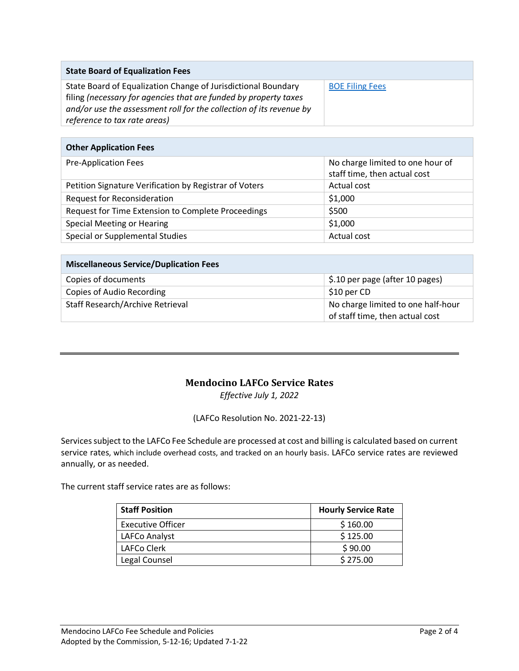| <b>State Board of Equalization Fees</b>                             |                        |
|---------------------------------------------------------------------|------------------------|
| State Board of Equalization Change of Jurisdictional Boundary       | <b>BOE Filing Fees</b> |
| filing (necessary for agencies that are funded by property taxes    |                        |
| and/or use the assessment roll for the collection of its revenue by |                        |
| reference to tax rate areas)                                        |                        |

|  | <b>Other Application Fees</b> |  |
|--|-------------------------------|--|
|  |                               |  |

| <b>Pre-Application Fees</b>                            | No charge limited to one hour of<br>staff time, then actual cost |
|--------------------------------------------------------|------------------------------------------------------------------|
| Petition Signature Verification by Registrar of Voters | Actual cost                                                      |
| <b>Request for Reconsideration</b>                     | \$1,000                                                          |
| Request for Time Extension to Complete Proceedings     | \$500                                                            |
| Special Meeting or Hearing                             | \$1,000                                                          |
| Special or Supplemental Studies                        | Actual cost                                                      |

| Miscellaneous Service/Duplication Fees |                                                                       |
|----------------------------------------|-----------------------------------------------------------------------|
| Copies of documents                    | \$.10 per page (after 10 pages)                                       |
| Copies of Audio Recording              | \$10 per CD                                                           |
| Staff Research/Archive Retrieval       | No charge limited to one half-hour<br>of staff time, then actual cost |

## **Mendocino LAFCo Service Rates**

*Effective July 1, 2022*

(LAFCo Resolution No. 2021-22-13)

Services subject to the LAFCo Fee Schedule are processed at cost and billing is calculated based on current service rates, which include overhead costs, and tracked on an hourly basis. LAFCo service rates are reviewed annually, or as needed.

The current staff service rates are as follows:

| <b>Staff Position</b>    | <b>Hourly Service Rate</b> |
|--------------------------|----------------------------|
| <b>Executive Officer</b> | \$160.00                   |
| LAFCo Analyst            | \$125.00                   |
| LAFCo Clerk              | \$90.00                    |
| Legal Counsel            | \$275.00                   |